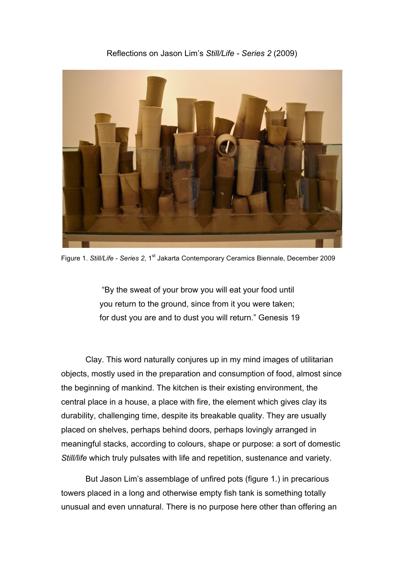## Reflections on Jason Lim's *Still/Life - Series 2* (2009)



Figure 1. Still/Life - Series 2, 1<sup>st</sup> Jakarta Contemporary Ceramics Biennale, December 2009

"By the sweat of your brow you will eat your food until you return to the ground, since from it you were taken; for dust you are and to dust you will return." Genesis 19

Clay. This word naturally conjures up in my mind images of utilitarian objects, mostly used in the preparation and consumption of food, almost since the beginning of mankind. The kitchen is their existing environment, the central place in a house, a place with fire, the element which gives clay its durability, challenging time, despite its breakable quality. They are usually placed on shelves, perhaps behind doors, perhaps lovingly arranged in meaningful stacks, according to colours, shape or purpose: a sort of domestic *Still/life* which truly pulsates with life and repetition, sustenance and variety.

But Jason Lim's assemblage of unfired pots (figure 1.) in precarious towers placed in a long and otherwise empty fish tank is something totally unusual and even unnatural. There is no purpose here other than offering an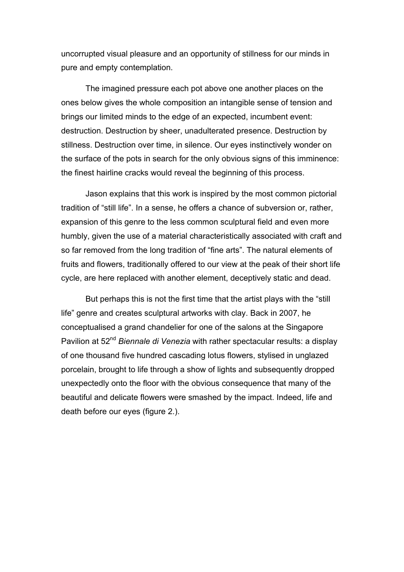uncorrupted visual pleasure and an opportunity of stillness for our minds in pure and empty contemplation.

The imagined pressure each pot above one another places on the ones below gives the whole composition an intangible sense of tension and brings our limited minds to the edge of an expected, incumbent event: destruction. Destruction by sheer, unadulterated presence. Destruction by stillness. Destruction over time, in silence. Our eyes instinctively wonder on the surface of the pots in search for the only obvious signs of this imminence: the finest hairline cracks would reveal the beginning of this process.

Jason explains that this work is inspired by the most common pictorial tradition of "still life". In a sense, he offers a chance of subversion or, rather, expansion of this genre to the less common sculptural field and even more humbly, given the use of a material characteristically associated with craft and so far removed from the long tradition of "fine arts". The natural elements of fruits and flowers, traditionally offered to our view at the peak of their short life cycle, are here replaced with another element, deceptively static and dead.

But perhaps this is not the first time that the artist plays with the "still life" genre and creates sculptural artworks with clay. Back in 2007, he conceptualised a grand chandelier for one of the salons at the Singapore Pavilion at 52<sup>nd</sup> *Biennale di Venezia* with rather spectacular results: a display of one thousand five hundred cascading lotus flowers, stylised in unglazed porcelain, brought to life through a show of lights and subsequently dropped unexpectedly onto the floor with the obvious consequence that many of the beautiful and delicate flowers were smashed by the impact. Indeed, life and death before our eyes (figure 2.).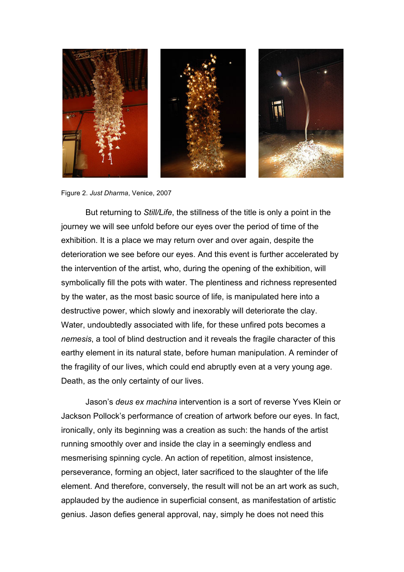

Figure 2. *Just Dharma*, Venice, 2007

But returning to *Still/Life*, the stillness of the title is only a point in the journey we will see unfold before our eyes over the period of time of the exhibition. It is a place we may return over and over again, despite the deterioration we see before our eyes. And this event is further accelerated by the intervention of the artist, who, during the opening of the exhibition, will symbolically fill the pots with water. The plentiness and richness represented by the water, as the most basic source of life, is manipulated here into a destructive power, which slowly and inexorably will deteriorate the clay. Water, undoubtedly associated with life, for these unfired pots becomes a *nemesis*, a tool of blind destruction and it reveals the fragile character of this earthy element in its natural state, before human manipulation. A reminder of the fragility of our lives, which could end abruptly even at a very young age. Death, as the only certainty of our lives.

Jason's *deus ex machina* intervention is a sort of reverse Yves Klein or Jackson Pollock's performance of creation of artwork before our eyes. In fact, ironically, only its beginning was a creation as such: the hands of the artist running smoothly over and inside the clay in a seemingly endless and mesmerising spinning cycle. An action of repetition, almost insistence, perseverance, forming an object, later sacrificed to the slaughter of the life element. And therefore, conversely, the result will not be an art work as such, applauded by the audience in superficial consent, as manifestation of artistic genius. Jason defies general approval, nay, simply he does not need this